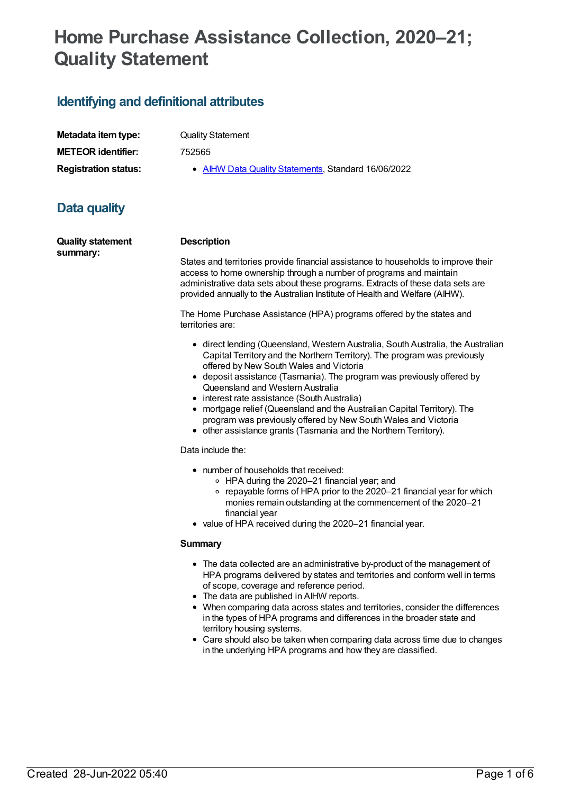# **Home Purchase Assistance Collection, 2020–21; Quality Statement**

# **Identifying and definitional attributes**

| Metadata item type:         |
|-----------------------------|
| <b>METEOR identifier:</b>   |
| <b>Registration status:</b> |

**Quality Statement** 

**METEOR identifier:** 752565

**• AIHW Data Quality [Statements](https://meteor.aihw.gov.au/RegistrationAuthority/5), Standard 16/06/2022** 

# **Data quality**

**Quality statement summary:**

#### **Description**

States and territories provide financial assistance to households to improve their access to home ownership through a number of programs and maintain administrative data sets about these programs. Extracts of these data sets are provided annually to the Australian Institute of Health and Welfare (AIHW).

The Home Purchase Assistance (HPA) programs offered by the states and territories are:

- direct lending (Queensland, Western Australia, South Australia, the Australian Capital Territory and the Northern Territory). The program was previously offered by New South Wales and Victoria
- deposit assistance (Tasmania). The program was previously offered by Queensland and Western Australia
- interest rate assistance (South Australia)
- mortgage relief (Queensland and the Australian Capital Territory). The program was previously offered by New South Wales and Victoria
- other assistance grants (Tasmania and the Northern Territory).

#### Data include the:

- number of households that received:
	- HPA during the 2020–21 financial year; and
	- repayable forms of HPA prior to the 2020–21 financial year for which monies remain outstanding at the commencement of the 2020–21 financial year
- value of HPA received during the 2020-21 financial year.

#### **Summary**

- The data collected are an administrative by-product of the management of HPA programs delivered by states and territories and conform well in terms of scope, coverage and reference period.
- The data are published in AIHW reports.
- When comparing data across states and territories, consider the differences in the types of HPA programs and differences in the broader state and territory housing systems.
- Care should also be taken when comparing data across time due to changes in the underlying HPA programs and how they are classified.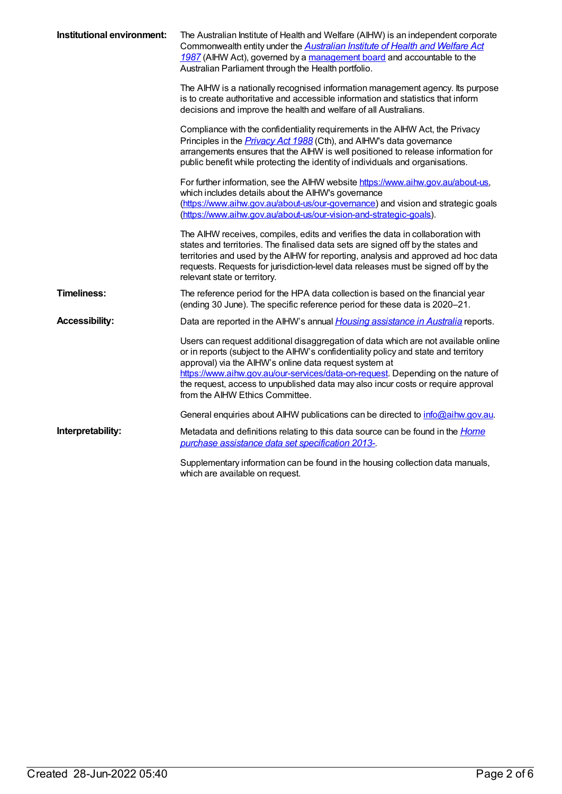| Institutional environment: | The Australian Institute of Health and Welfare (AIHW) is an independent corporate<br>Commonwealth entity under the <b>Australian Institute of Health and Welfare Act</b><br>1987 (AIHW Act), governed by a management board and accountable to the<br>Australian Parliament through the Health portfolio.                                                                                                                                      |
|----------------------------|------------------------------------------------------------------------------------------------------------------------------------------------------------------------------------------------------------------------------------------------------------------------------------------------------------------------------------------------------------------------------------------------------------------------------------------------|
|                            | The AIHW is a nationally recognised information management agency. Its purpose<br>is to create authoritative and accessible information and statistics that inform<br>decisions and improve the health and welfare of all Australians.                                                                                                                                                                                                         |
|                            | Compliance with the confidentiality requirements in the AIHW Act, the Privacy<br>Principles in the <b>Privacy Act 1988</b> (Cth), and AIHW's data governance<br>arrangements ensures that the AIHW is well positioned to release information for<br>public benefit while protecting the identity of individuals and organisations.                                                                                                             |
|                            | For further information, see the AIHW website https://www.aihw.gov.au/about-us,<br>which includes details about the AIHW's governance<br>(https://www.aihw.gov.au/about-us/our-governance) and vision and strategic goals<br>(https://www.aihw.gov.au/about-us/our-vision-and-strategic-goals).                                                                                                                                                |
|                            | The AIHW receives, compiles, edits and verifies the data in collaboration with<br>states and territories. The finalised data sets are signed off by the states and<br>territories and used by the AIHW for reporting, analysis and approved ad hoc data<br>requests. Requests for jurisdiction-level data releases must be signed off by the<br>relevant state or territory.                                                                   |
| <b>Timeliness:</b>         | The reference period for the HPA data collection is based on the financial year<br>(ending 30 June). The specific reference period for these data is 2020-21.                                                                                                                                                                                                                                                                                  |
| <b>Accessibility:</b>      | Data are reported in the AIHW's annual <i>Housing assistance in Australia</i> reports.                                                                                                                                                                                                                                                                                                                                                         |
|                            | Users can request additional disaggregation of data which are not available online<br>or in reports (subject to the AIHW's confidentiality policy and state and territory<br>approval) via the AIHW's online data request system at<br>https://www.aihw.gov.au/our-services/data-on-request. Depending on the nature of<br>the request, access to unpublished data may also incur costs or require approval<br>from the AIHW Ethics Committee. |
|                            | General enquiries about AIHW publications can be directed to info@aihw.gov.au.                                                                                                                                                                                                                                                                                                                                                                 |
| Interpretability:          | Metadata and definitions relating to this data source can be found in the <i>Home</i><br>purchase assistance data set specification 2013-                                                                                                                                                                                                                                                                                                      |
|                            | Supplementary information can be found in the housing collection data manuals,<br>which are available on request.                                                                                                                                                                                                                                                                                                                              |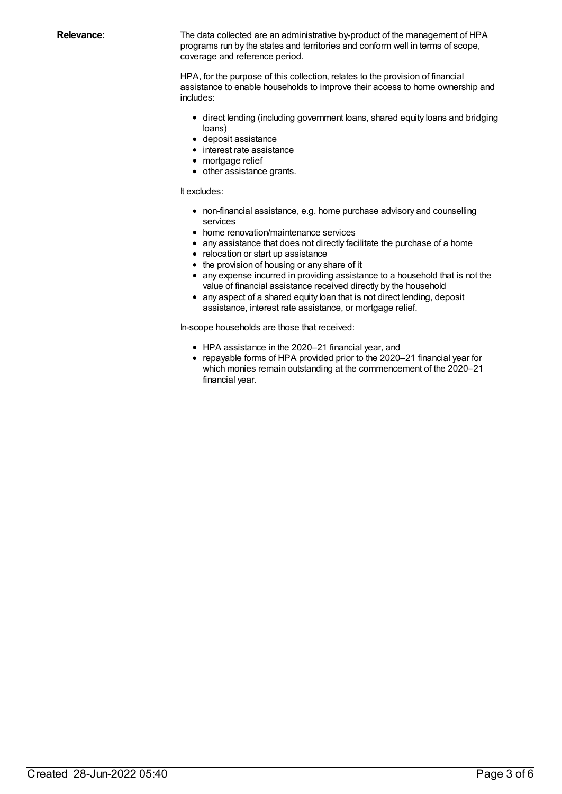**Relevance:** The data collected are an administrative by-product of the management of HPA programs run by the states and territories and conform well in terms of scope, coverage and reference period.

> HPA, for the purpose of this collection, relates to the provision of financial assistance to enable households to improve their access to home ownership and includes:

- direct lending (including government loans, shared equity loans and bridging loans)
- deposit assistance
- interest rate assistance
- mortgage relief
- other assistance grants.

#### It excludes:

- non-financial assistance, e.g. home purchase advisory and counselling services
- home renovation/maintenance services
- any assistance that does not directly facilitate the purchase of a home
- relocation or start up assistance
- the provision of housing or any share of it
- any expense incurred in providing assistance to a household that is not the value of financial assistance received directly by the household
- any aspect of a shared equity loan that is not direct lending, deposit assistance, interest rate assistance, or mortgage relief.

In-scope households are those that received:

- HPA assistance in the 2020–21 financial year, and
- repayable forms of HPA provided prior to the 2020–21 financial year for which monies remain outstanding at the commencement of the 2020–21 financial year.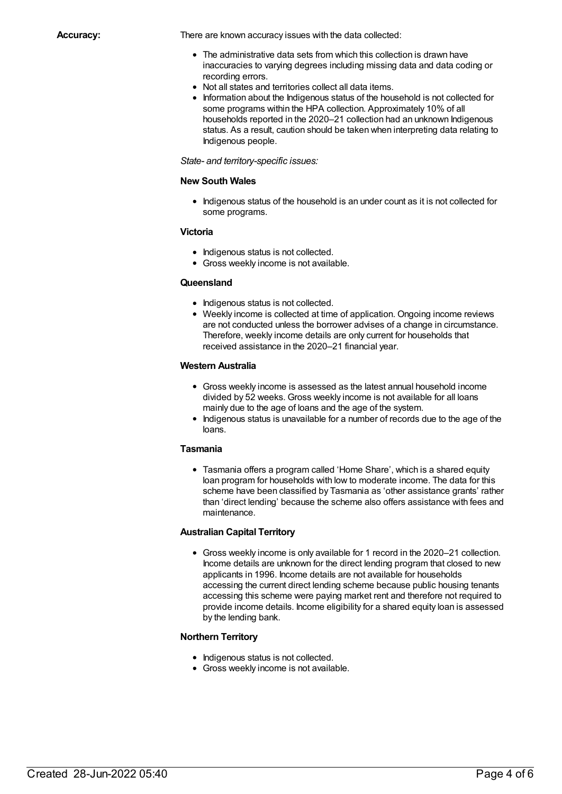**Accuracy:** There are known accuracy issues with the data collected:

- The administrative data sets from which this collection is drawn have inaccuracies to varying degrees including missing data and data coding or recording errors.
- Not all states and territories collect all data items.
- Information about the Indigenous status of the household is not collected for some programs within the HPA collection. Approximately 10% of all households reported in the 2020–21 collection had an unknown Indigenous status. As a result, caution should be taken when interpreting data relating to Indigenous people.

### *State- and territory-specific issues:*

### **New South Wales**

• Indigenous status of the household is an under count as it is not collected for some programs.

### **Victoria**

- Indigenous status is not collected.
- Gross weekly income is not available.

# **Queensland**

- Indigenous status is not collected.
- Weekly income is collected at time of application. Ongoing income reviews are not conducted unless the borrower advises of a change in circumstance. Therefore, weekly income details are only current for households that received assistance in the 2020–21 financial year.

### **Western Australia**

- Gross weekly income is assessed as the latest annual household income divided by 52 weeks. Gross weekly income is not available for all loans mainly due to the age of loans and the age of the system.
- Indigenous status is unavailable for a number of records due to the age of the loans.

# **Tasmania**

Tasmania offers a program called 'Home Share', which is a shared equity loan program for households with low to moderate income. The data for this scheme have been classified by Tasmania as 'other assistance grants' rather than 'direct lending' because the scheme also offers assistance with fees and maintenance.

# **Australian Capital Territory**

Gross weekly income is only available for 1 record in the 2020–21 collection. Income details are unknown for the direct lending program that closed to new applicants in 1996. Income details are not available for households accessing the current direct lending scheme because public housing tenants accessing this scheme were paying market rent and therefore not required to provide income details. Income eligibility for a shared equity loan is assessed by the lending bank.

# **Northern Territory**

- Indigenous status is not collected.
- Gross weekly income is not available.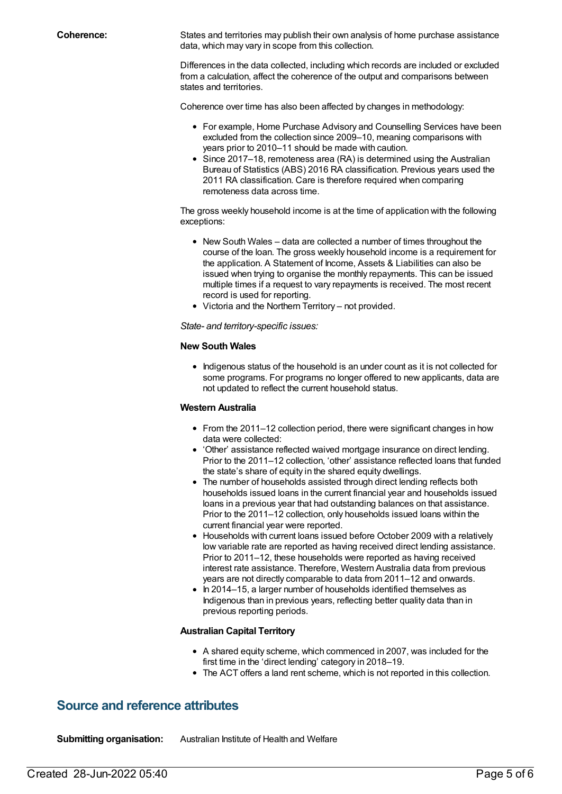**Coherence:** States and territories may publish their own analysis of home purchase assistance data, which may vary in scope from this collection.

> Differences in the data collected, including which records are included or excluded from a calculation, affect the coherence of the output and comparisons between states and territories.

Coherence over time has also been affected by changes in methodology:

- For example, Home Purchase Advisory and Counselling Services have been excluded from the collection since 2009–10, meaning comparisons with years prior to 2010–11 should be made with caution.
- Since 2017–18, remoteness area (RA) is determined using the Australian Bureau of Statistics (ABS) 2016 RA classification. Previous years used the 2011 RA classification. Care is therefore required when comparing remoteness data across time.

The gross weekly household income is at the time of application with the following exceptions:

- New South Wales data are collected a number of times throughout the course of the loan. The gross weekly household income is a requirement for the application. A Statement of Income, Assets & Liabilities can also be issued when trying to organise the monthly repayments. This can be issued multiple times if a request to vary repayments is received. The most recent record is used for reporting.
- Victoria and the Northern Territory not provided.

*State- and territory-specific issues:*

#### **New South Wales**

• Indigenous status of the household is an under count as it is not collected for some programs. For programs no longer offered to new applicants, data are not updated to reflect the current household status.

#### **Western Australia**

- From the 2011–12 collection period, there were significant changes in how data were collected:
- 'Other' assistance reflected waived mortgage insurance on direct lending. Prior to the 2011–12 collection, 'other' assistance reflected loans that funded the state's share of equity in the shared equity dwellings.
- The number of households assisted through direct lending reflects both households issued loans in the current financial year and households issued loans in a previous year that had outstanding balances on that assistance. Prior to the 2011–12 collection, only households issued loans within the current financial year were reported.
- Households with current loans issued before October 2009 with a relatively low variable rate are reported as having received direct lending assistance. Prior to 2011–12, these households were reported as having received interest rate assistance. Therefore, Western Australia data from previous years are not directly comparable to data from 2011–12 and onwards.
- In 2014–15, a larger number of households identified themselves as Indigenous than in previous years, reflecting better quality data than in previous reporting periods.

#### **Australian Capital Territory**

- A shared equity scheme, which commenced in 2007, was included for the first time in the 'direct lending' category in 2018–19.
- The ACT offers a land rent scheme, which is not reported in this collection.

# **Source and reference attributes**

**Submitting organisation:** Australian Institute of Health and Welfare